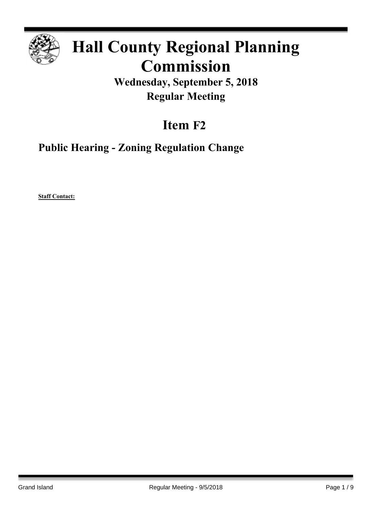

# **Hall County Regional Planning Commission**

**Wednesday, September 5, 2018 Regular Meeting**

## **Item F2**

**Public Hearing - Zoning Regulation Change**

**Staff Contact:**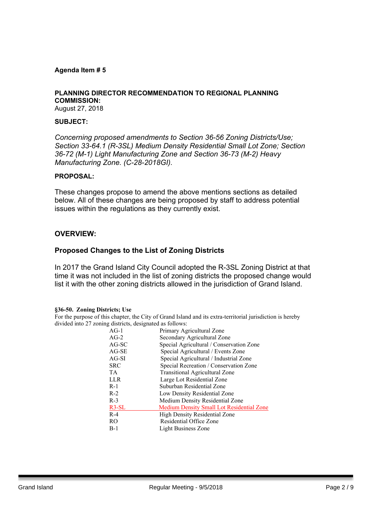## **Agenda Item # 5**

## **PLANNING DIRECTOR RECOMMENDATION TO REGIONAL PLANNING COMMISSION:**

August 27, 2018

## **SUBJECT:**

*Concerning proposed amendments to Section 36-56 Zoning Districts/Use; Section 33-64.1 (R-3SL) Medium Density Residential Small Lot Zone; Section 36-72 (M-1) Light Manufacturing Zone and Section 36-73 (M-2) Heavy Manufacturing Zone. (C-28-2018GI).* 

## **PROPOSAL:**

These changes propose to amend the above mentions sections as detailed below. All of these changes are being proposed by staff to address potential issues within the regulations as they currently exist.

## **OVERVIEW:**

## **Proposed Changes to the List of Zoning Districts**

In 2017 the Grand Island City Council adopted the R-3SL Zoning District at that time it was not included in the list of zoning districts the proposed change would list it with the other zoning districts allowed in the jurisdiction of Grand Island.

#### **§36-50. Zoning Districts; Use**

For the purpose of this chapter, the City of Grand Island and its extra-territorial jurisdiction is hereby divided into 27 zoning districts, designated as follows:

| $AG-1$     | Primary Agricultural Zone                        |
|------------|--------------------------------------------------|
| $AG-2$     | Secondary Agricultural Zone                      |
| AG-SC      | Special Agricultural / Conservation Zone         |
| $AG-SE$    | Special Agricultural / Events Zone               |
| $AG-SI$    | Special Agricultural / Industrial Zone           |
| <b>SRC</b> | Special Recreation / Conservation Zone           |
| TA.        | <b>Transitional Agricultural Zone</b>            |
| LLR        | Large Lot Residential Zone                       |
| $R-1$      | Suburban Residential Zone                        |
| $R-2$      | Low Density Residential Zone                     |
| $R-3$      | Medium Density Residential Zone                  |
| $R3-SL$    | <b>Medium Density Small Lot Residential Zone</b> |
| $R-4$      | High Density Residential Zone                    |
| RO.        | Residential Office Zone                          |
| $B-1$      | Light Business Zone                              |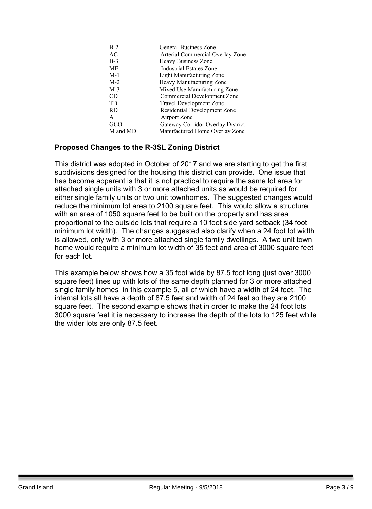| $B-2$    | General Business Zone              |
|----------|------------------------------------|
| AC       | Arterial Commercial Overlay Zone   |
| $B-3$    | Heavy Business Zone                |
| МE       | <b>Industrial Estates Zone</b>     |
| $M-1$    | Light Manufacturing Zone           |
| $M-2$    | Heavy Manufacturing Zone           |
| $M-3$    | Mixed Use Manufacturing Zone       |
| CD       | <b>Commercial Development Zone</b> |
| TD       | <b>Travel Development Zone</b>     |
| RD.      | Residential Development Zone       |
| A        | Airport Zone                       |
| GCO      | Gateway Corridor Overlay District  |
| M and MD | Manufactured Home Overlay Zone     |

## **Proposed Changes to the R-3SL Zoning District**

This district was adopted in October of 2017 and we are starting to get the first subdivisions designed for the housing this district can provide. One issue that has become apparent is that it is not practical to require the same lot area for attached single units with 3 or more attached units as would be required for either single family units or two unit townhomes. The suggested changes would reduce the minimum lot area to 2100 square feet. This would allow a structure with an area of 1050 square feet to be built on the property and has area proportional to the outside lots that require a 10 foot side yard setback (34 foot minimum lot width). The changes suggested also clarify when a 24 foot lot width is allowed, only with 3 or more attached single family dwellings. A two unit town home would require a minimum lot width of 35 feet and area of 3000 square feet for each lot.

This example below shows how a 35 foot wide by 87.5 foot long (just over 3000 square feet) lines up with lots of the same depth planned for 3 or more attached single family homes in this example 5, all of which have a width of 24 feet. The internal lots all have a depth of 87.5 feet and width of 24 feet so they are 2100 square feet. The second example shows that in order to make the 24 foot lots 3000 square feet it is necessary to increase the depth of the lots to 125 feet while the wider lots are only 87.5 feet.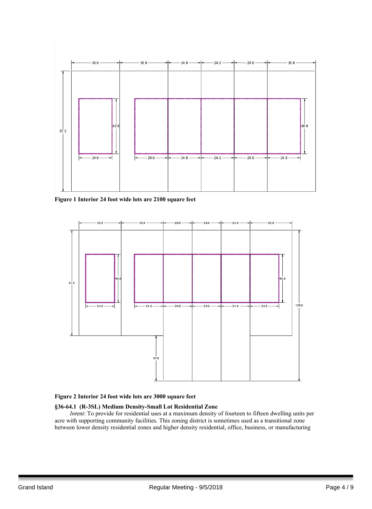

**Figure 1 Interior 24 foot wide lots are 2100 square feet**



#### **Figure 2 Interior 24 foot wide lots are 3000 square feet**

#### **§36-64.1 (R-3SL) Medium Density-Small Lot Residential Zone**

*Intent*: To provide for residential uses at a maximum density of fourteen to fifteen dwelling units per acre with supporting community facilities. This zoning district is sometimes used as a transitional zone between lower density residential zones and higher density residential, office, business, or manufacturing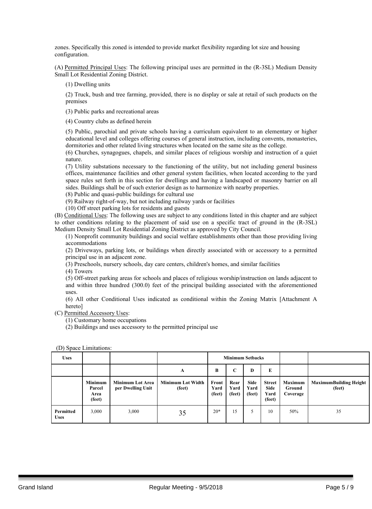zones. Specifically this zoned is intended to provide market flexibility regarding lot size and housing configuration.

(A) Permitted Principal Uses: The following principal uses are permitted in the (R-3SL) Medium Density Small Lot Residential Zoning District.

(1) Dwelling units

(2) Truck, bush and tree farming, provided, there is no display or sale at retail of such products on the premises

(3) Public parks and recreational areas

(4) Country clubs as defined herein

(5) Public, parochial and private schools having a curriculum equivalent to an elementary or higher educational level and colleges offering courses of general instruction, including convents, monasteries, dormitories and other related living structures when located on the same site as the college.

(6) Churches, synagogues, chapels, and similar places of religious worship and instruction of a quiet nature.

(7) Utility substations necessary to the functioning of the utility, but not including general business offices, maintenance facilities and other general system facilities, when located according to the yard space rules set forth in this section for dwellings and having a landscaped or masonry barrier on all sides. Buildings shall be of such exterior design as to harmonize with nearby properties.

(8) Public and quasi-public buildings for cultural use

(9) Railway right-of-way, but not including railway yards or facilities

(10) Off street parking lots for residents and guests

(B) Conditional Uses: The following uses are subject to any conditions listed in this chapter and are subject to other conditions relating to the placement of said use on a specific tract of ground in the (R-3SL) Medium Density Small Lot Residential Zoning District as approved by City Council.

(1) Nonprofit community buildings and social welfare establishments other than those providing living accommodations

(2) Driveways, parking lots, or buildings when directly associated with or accessory to a permitted principal use in an adjacent zone.

(3) Preschools, nursery schools, day care centers, children's homes, and similar facilities

(4) Towers

(5) Off-street parking areas for schools and places of religious worship/instruction on lands adjacent to and within three hundred (300.0) feet of the principal building associated with the aforementioned uses.

(6) All other Conditional Uses indicated as conditional within the Zoning Matrix [Attachment A hereto]

(C) Permitted Accessory Uses:

(1) Customary home occupations

(2) Buildings and uses accessory to the permitted principal use

(D) Space Limitations:

| <b>Uses</b>              |                                            |                                              |                                    | <b>Minimum Setbacks</b> |                        |                        |                                                |                                      |                                         |
|--------------------------|--------------------------------------------|----------------------------------------------|------------------------------------|-------------------------|------------------------|------------------------|------------------------------------------------|--------------------------------------|-----------------------------------------|
|                          |                                            |                                              | A                                  | B                       | C                      | D                      | E                                              |                                      |                                         |
|                          | <b>Minimum</b><br>Parcel<br>Area<br>(feet) | <b>Minimum Lot Area</b><br>per Dwelling Unit | <b>Minimum Lot Width</b><br>(feet) | Front<br>Yard<br>(feet) | Rear<br>Yard<br>(feet) | Side<br>Yard<br>(feet) | <b>Street</b><br><b>Side</b><br>Yard<br>(feet) | <b>Maximum</b><br>Ground<br>Coverage | <b>MaximumBuilding Height</b><br>(feet) |
| Permitted<br><b>Uses</b> | 3,000                                      | 3,000                                        | 35                                 | $20*$                   | 15                     |                        | 10                                             | 50%                                  | 35                                      |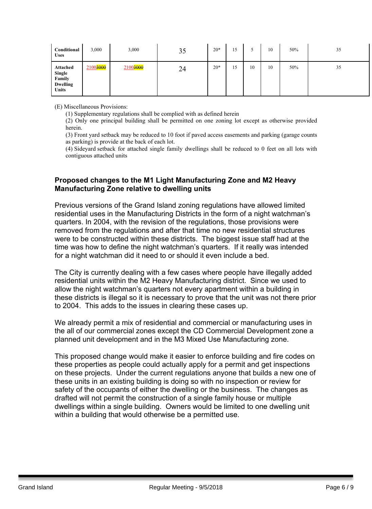| Conditional<br><b>Uses</b>                                             | 3,000    | 3,000    | 35 | $20*$ | 15 |    | 10 | 50% | 35 |
|------------------------------------------------------------------------|----------|----------|----|-------|----|----|----|-----|----|
| Attached<br><b>Single</b><br>Family<br><b>Dwelling</b><br><b>Units</b> | 21003000 | 21003000 | 24 | $20*$ | 15 | 10 | 10 | 50% | 35 |

(E) Miscellaneous Provisions:

(1) Supplementary regulations shall be complied with as defined herein

(2) Only one principal building shall be permitted on one zoning lot except as otherwise provided herein.

(3) Front yard setback may be reduced to 10 foot if paved access easements and parking (garage counts as parking) is provide at the back of each lot.

(4) Sideyard setback for attached single family dwellings shall be reduced to 0 feet on all lots with contiguous attached units

## **Proposed changes to the M1 Light Manufacturing Zone and M2 Heavy Manufacturing Zone relative to dwelling units**

Previous versions of the Grand Island zoning regulations have allowed limited residential uses in the Manufacturing Districts in the form of a night watchman's quarters. In 2004, with the revision of the regulations, those provisions were removed from the regulations and after that time no new residential structures were to be constructed within these districts. The biggest issue staff had at the time was how to define the night watchman's quarters. If it really was intended for a night watchman did it need to or should it even include a bed.

The City is currently dealing with a few cases where people have illegally added residential units within the M2 Heavy Manufacturing district. Since we used to allow the night watchman's quarters not every apartment within a building in these districts is illegal so it is necessary to prove that the unit was not there prior to 2004. This adds to the issues in clearing these cases up.

We already permit a mix of residential and commercial or manufacturing uses in the all of our commercial zones except the CD Commercial Development zone a planned unit development and in the M3 Mixed Use Manufacturing zone.

This proposed change would make it easier to enforce building and fire codes on these properties as people could actually apply for a permit and get inspections on these projects. Under the current regulations anyone that builds a new one of these units in an existing building is doing so with no inspection or review for safety of the occupants of either the dwelling or the business. The changes as drafted will not permit the construction of a single family house or multiple dwellings within a single building. Owners would be limited to one dwelling unit within a building that would otherwise be a permitted use.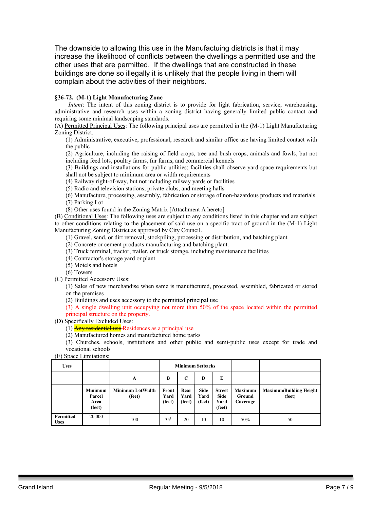The downside to allowing this use in the Manufactuing districts is that it may increase the likelihood of conflicts between the dwellings a permitted use and the other uses that are permitted. If the dwellings that are constructed in these buildings are done so illegally it is unlikely that the people living in them will complain about the activities of their neighbors.

#### **§36-72. (M-1) Light Manufacturing Zone**

*Intent*: The intent of this zoning district is to provide for light fabrication, service, warehousing, administrative and research uses within a zoning district having generally limited public contact and requiring some minimal landscaping standards.

(A) Permitted Principal Uses: The following principal uses are permitted in the (M-1) Light Manufacturing Zoning District.

(1) Administrative, executive, professional, research and similar office use having limited contact with the public

(2) Agriculture, including the raising of field crops, tree and bush crops, animals and fowls, but not including feed lots, poultry farms, fur farms, and commercial kennels

(3) Buildings and installations for public utilities; facilities shall observe yard space requirements but shall not be subject to minimum area or width requirements

(4) Railway right-of-way, but not including railway yards or facilities

(5) Radio and television stations, private clubs, and meeting halls

(6) Manufacture, processing, assembly, fabrication or storage of non-hazardous products and materials (7) Parking Lot

(8) Other uses found in the Zoning Matrix [Attachment A hereto]

(B) Conditional Uses: The following uses are subject to any conditions listed in this chapter and are subject to other conditions relating to the placement of said use on a specific tract of ground in the (M-1) Light Manufacturing Zoning District as approved by City Council.

(1) Gravel, sand, or dirt removal, stockpiling, processing or distribution, and batching plant

(2) Concrete or cement products manufacturing and batching plant.

(3) Truck terminal, tractor, trailer, or truck storage, including maintenance facilities

(4) Contractor's storage yard or plant

(5) Motels and hotels

(6) Towers

(C) Permitted Accessory Uses:

(1) Sales of new merchandise when same is manufactured, processed, assembled, fabricated or stored on the premises

(2) Buildings and uses accessory to the permitted principal use

(3) A single dwelling unit occupying not more than 50% of the space located within the permitted principal structure on the property.

(D) Specifically Excluded Uses:

 $(1)$  Any residential use Residences as a principal use

(2) Manufactured homes and manufactured home parks

(3) Churches, schools, institutions and other public and semi-public uses except for trade and vocational schools

(E) Space Limitations:

| <b>Uses</b>              |                                            |                                   |                         |                        | <b>Minimum Setbacks</b>       |                                         |                                      |                                         |
|--------------------------|--------------------------------------------|-----------------------------------|-------------------------|------------------------|-------------------------------|-----------------------------------------|--------------------------------------|-----------------------------------------|
|                          |                                            | A                                 | B                       | C                      | D                             | E                                       |                                      |                                         |
|                          | <b>Minimum</b><br>Parcel<br>Area<br>(feet) | <b>Minimum LotWidth</b><br>(feet) | Front<br>Yard<br>(feet) | Rear<br>Yard<br>(feet) | <b>Side</b><br>Yard<br>(feet) | <b>Street</b><br>Side<br>Yard<br>(feet) | <b>Maximum</b><br>Ground<br>Coverage | <b>MaximumBuilding Height</b><br>(feet) |
| Permitted<br><b>Uses</b> | 20,000                                     | 100                               | 35 <sup>1</sup>         | 20                     | 10                            | 10                                      | 50%                                  | 50                                      |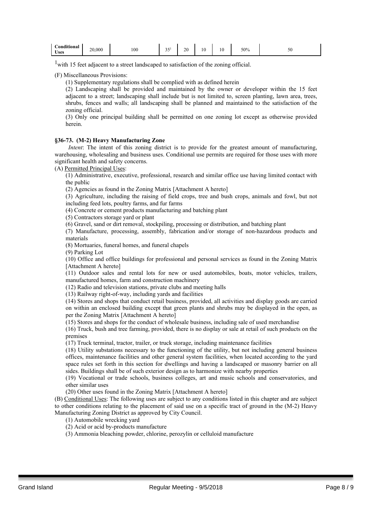| $\cdots$<br>$\sim$<br>Conditional<br>- T Y<br><b>Uses</b> | 20,000 | 100 | $\sim$ $-$<br>ں ر | $\gamma$<br>∠∪ | 10 | 1 U | 50% | υc |
|-----------------------------------------------------------|--------|-----|-------------------|----------------|----|-----|-----|----|
|-----------------------------------------------------------|--------|-----|-------------------|----------------|----|-----|-----|----|

<sup>1</sup> with 15 feet adjacent to a street landscaped to satisfaction of the zoning official.

(F) Miscellaneous Provisions:

(1) Supplementary regulations shall be complied with as defined herein

(2) Landscaping shall be provided and maintained by the owner or developer within the 15 feet adjacent to a street; landscaping shall include but is not limited to, screen planting, lawn area, trees, shrubs, fences and walls; all landscaping shall be planned and maintained to the satisfaction of the zoning official.

(3) Only one principal building shall be permitted on one zoning lot except as otherwise provided herein.

#### **§36-73. (M-2) Heavy Manufacturing Zone**

*Intent*: The intent of this zoning district is to provide for the greatest amount of manufacturing, warehousing, wholesaling and business uses. Conditional use permits are required for those uses with more significant health and safety concerns.

(A) Permitted Principal Uses:

(1) Administrative, executive, professional, research and similar office use having limited contact with the public

(2) Agencies as found in the Zoning Matrix [Attachment A hereto]

(3) Agriculture, including the raising of field crops, tree and bush crops, animals and fowl, but not including feed lots, poultry farms, and fur farms

(4) Concrete or cement products manufacturing and batching plant

(5) Contractors storage yard or plant

(6) Gravel, sand or dirt removal, stockpiling, processing or distribution, and batching plant

(7) Manufacture, processing, assembly, fabrication and/or storage of non-hazardous products and materials

(8) Mortuaries, funeral homes, and funeral chapels

(9) Parking Lot

(10) Office and office buildings for professional and personal services as found in the Zoning Matrix [Attachment A hereto]

(11) Outdoor sales and rental lots for new or used automobiles, boats, motor vehicles, trailers, manufactured homes, farm and construction machinery

(12) Radio and television stations, private clubs and meeting halls

(13) Railway right-of-way, including yards and facilities

(14) Stores and shops that conduct retail business, provided, all activities and display goods are carried on within an enclosed building except that green plants and shrubs may be displayed in the open, as per the Zoning Matrix [Attachment A hereto]

(15) Stores and shops for the conduct of wholesale business, including sale of used merchandise

(16) Truck, bush and tree farming, provided, there is no display or sale at retail of such products on the premises

(17) Truck terminal, tractor, trailer, or truck storage, including maintenance facilities

(18) Utility substations necessary to the functioning of the utility, but not including general business offices, maintenance facilities and other general system facilities, when located according to the yard space rules set forth in this section for dwellings and having a landscaped or masonry barrier on all sides. Buildings shall be of such exterior design as to harmonize with nearby properties

(19) Vocational or trade schools, business colleges, art and music schools and conservatories, and other similar uses

(20) Other uses found in the Zoning Matrix [Attachment A hereto]

(B) Conditional Uses: The following uses are subject to any conditions listed in this chapter and are subject to other conditions relating to the placement of said use on a specific tract of ground in the (M-2) Heavy Manufacturing Zoning District as approved by City Council.

(1) Automobile wrecking yard

(2) Acid or acid by-products manufacture

(3) Ammonia bleaching powder, chlorine, perozylin or celluloid manufacture